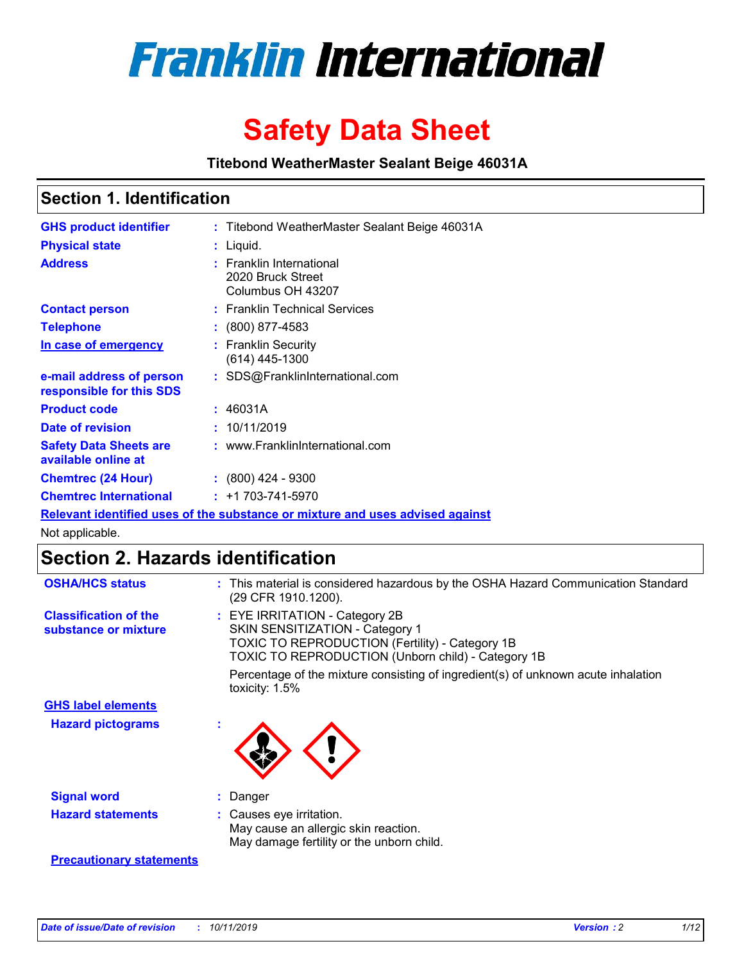

# **Safety Data Sheet**

**Titebond WeatherMaster Sealant Beige 46031A**

### **Section 1. Identification**

| <b>GHS product identifier</b>                        | : Titebond WeatherMaster Sealant Beige 46031A                                 |
|------------------------------------------------------|-------------------------------------------------------------------------------|
| <b>Physical state</b>                                | : Liquid.                                                                     |
| <b>Address</b>                                       | : Franklin International<br>2020 Bruck Street<br>Columbus OH 43207            |
| <b>Contact person</b>                                | : Franklin Technical Services                                                 |
| <b>Telephone</b>                                     | : (800) 877-4583                                                              |
| In case of emergency                                 | : Franklin Security<br>$(614)$ 445-1300                                       |
| e-mail address of person<br>responsible for this SDS | : SDS@FranklinInternational.com                                               |
| <b>Product code</b>                                  | : 46031A                                                                      |
| Date of revision                                     | : 10/11/2019                                                                  |
| <b>Safety Data Sheets are</b><br>available online at | : www.FranklinInternational.com                                               |
| <b>Chemtrec (24 Hour)</b>                            | $\div$ (800) 424 - 9300                                                       |
| <b>Chemtrec International</b>                        | $: +1703 - 741 - 5970$                                                        |
|                                                      | Relevant identified uses of the substance or mixture and uses advised against |

Not applicable.

## **Section 2. Hazards identification**

| <b>OSHA/HCS status</b>                               | : This material is considered hazardous by the OSHA Hazard Communication Standard<br>(29 CFR 1910.1200).                                                                          |
|------------------------------------------------------|-----------------------------------------------------------------------------------------------------------------------------------------------------------------------------------|
| <b>Classification of the</b><br>substance or mixture | : EYE IRRITATION - Category 2B<br>SKIN SENSITIZATION - Category 1<br><b>TOXIC TO REPRODUCTION (Fertility) - Category 1B</b><br>TOXIC TO REPRODUCTION (Unborn child) - Category 1B |
|                                                      | Percentage of the mixture consisting of ingredient(s) of unknown acute inhalation<br>toxicity: $1.5\%$                                                                            |
| <b>GHS label elements</b>                            |                                                                                                                                                                                   |
| <b>Hazard pictograms</b>                             |                                                                                                                                                                                   |
| <b>Signal word</b>                                   | : Danger                                                                                                                                                                          |
| <b>Hazard statements</b>                             | : Causes eye irritation.<br>May cause an allergic skin reaction.<br>May damage fertility or the unborn child.                                                                     |
| <b>Precautionary statements</b>                      |                                                                                                                                                                                   |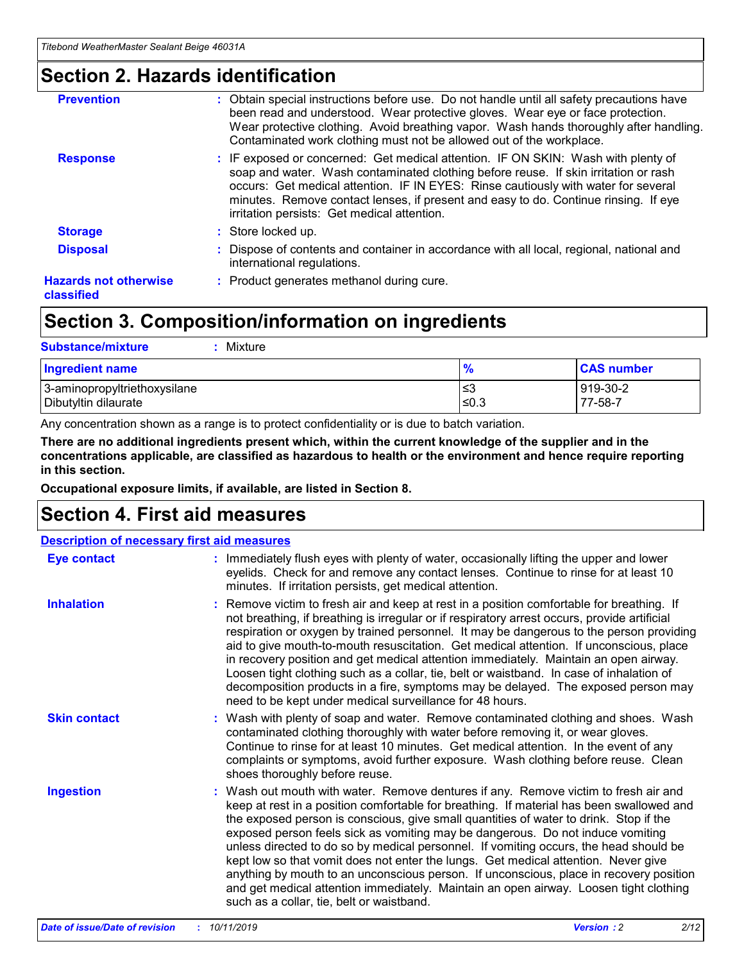### **Section 2. Hazards identification**

| <b>Prevention</b>                          | : Obtain special instructions before use. Do not handle until all safety precautions have<br>been read and understood. Wear protective gloves. Wear eye or face protection.<br>Wear protective clothing. Avoid breathing vapor. Wash hands thoroughly after handling.<br>Contaminated work clothing must not be allowed out of the workplace.                                                        |
|--------------------------------------------|------------------------------------------------------------------------------------------------------------------------------------------------------------------------------------------------------------------------------------------------------------------------------------------------------------------------------------------------------------------------------------------------------|
| <b>Response</b>                            | : IF exposed or concerned: Get medical attention. IF ON SKIN: Wash with plenty of<br>soap and water. Wash contaminated clothing before reuse. If skin irritation or rash<br>occurs: Get medical attention. IF IN EYES: Rinse cautiously with water for several<br>minutes. Remove contact lenses, if present and easy to do. Continue rinsing. If eye<br>irritation persists: Get medical attention. |
| <b>Storage</b>                             | : Store locked up.                                                                                                                                                                                                                                                                                                                                                                                   |
| <b>Disposal</b>                            | : Dispose of contents and container in accordance with all local, regional, national and<br>international regulations.                                                                                                                                                                                                                                                                               |
| <b>Hazards not otherwise</b><br>classified | : Product generates methanol during cure.                                                                                                                                                                                                                                                                                                                                                            |
|                                            |                                                                                                                                                                                                                                                                                                                                                                                                      |

### **Section 3. Composition/information on ingredients**

| <b>Substance/mixture</b><br>Mixture                  |                   |                     |
|------------------------------------------------------|-------------------|---------------------|
| Ingredient name                                      | $\frac{9}{6}$     | <b>CAS number</b>   |
| 3-aminopropyltriethoxysilane<br>Dibutyltin dilaurate | l≤3<br>$\leq 0.3$ | 919-30-2<br>77-58-7 |

Any concentration shown as a range is to protect confidentiality or is due to batch variation.

**There are no additional ingredients present which, within the current knowledge of the supplier and in the concentrations applicable, are classified as hazardous to health or the environment and hence require reporting in this section.**

**Occupational exposure limits, if available, are listed in Section 8.**

### **Section 4. First aid measures**

| <b>Description of necessary first aid measures</b> |                                                                                                                                                                                                                                                                                                                                                                                                                                                                                                                                                                                                                                                                                                                                                                           |  |  |  |
|----------------------------------------------------|---------------------------------------------------------------------------------------------------------------------------------------------------------------------------------------------------------------------------------------------------------------------------------------------------------------------------------------------------------------------------------------------------------------------------------------------------------------------------------------------------------------------------------------------------------------------------------------------------------------------------------------------------------------------------------------------------------------------------------------------------------------------------|--|--|--|
| <b>Eye contact</b>                                 | : Immediately flush eyes with plenty of water, occasionally lifting the upper and lower<br>eyelids. Check for and remove any contact lenses. Continue to rinse for at least 10<br>minutes. If irritation persists, get medical attention.                                                                                                                                                                                                                                                                                                                                                                                                                                                                                                                                 |  |  |  |
| <b>Inhalation</b>                                  | : Remove victim to fresh air and keep at rest in a position comfortable for breathing. If<br>not breathing, if breathing is irregular or if respiratory arrest occurs, provide artificial<br>respiration or oxygen by trained personnel. It may be dangerous to the person providing<br>aid to give mouth-to-mouth resuscitation. Get medical attention. If unconscious, place<br>in recovery position and get medical attention immediately. Maintain an open airway.<br>Loosen tight clothing such as a collar, tie, belt or waistband. In case of inhalation of<br>decomposition products in a fire, symptoms may be delayed. The exposed person may<br>need to be kept under medical surveillance for 48 hours.                                                       |  |  |  |
| <b>Skin contact</b>                                | : Wash with plenty of soap and water. Remove contaminated clothing and shoes. Wash<br>contaminated clothing thoroughly with water before removing it, or wear gloves.<br>Continue to rinse for at least 10 minutes. Get medical attention. In the event of any<br>complaints or symptoms, avoid further exposure. Wash clothing before reuse. Clean<br>shoes thoroughly before reuse.                                                                                                                                                                                                                                                                                                                                                                                     |  |  |  |
| <b>Ingestion</b>                                   | : Wash out mouth with water. Remove dentures if any. Remove victim to fresh air and<br>keep at rest in a position comfortable for breathing. If material has been swallowed and<br>the exposed person is conscious, give small quantities of water to drink. Stop if the<br>exposed person feels sick as vomiting may be dangerous. Do not induce vomiting<br>unless directed to do so by medical personnel. If vomiting occurs, the head should be<br>kept low so that vomit does not enter the lungs. Get medical attention. Never give<br>anything by mouth to an unconscious person. If unconscious, place in recovery position<br>and get medical attention immediately. Maintain an open airway. Loosen tight clothing<br>such as a collar, tie, belt or waistband. |  |  |  |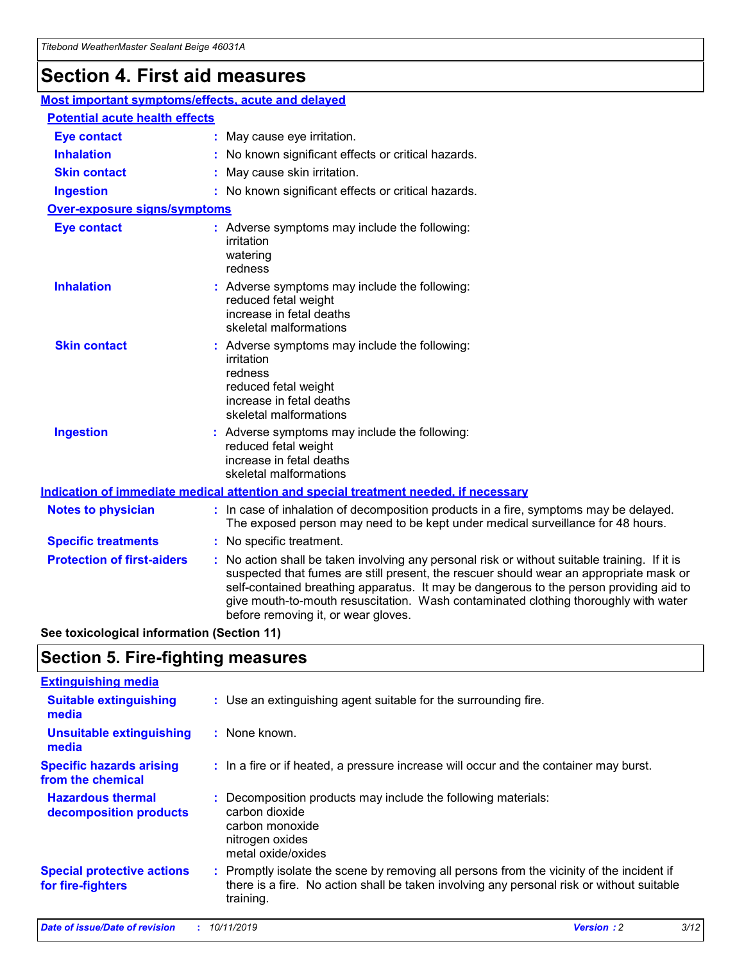## **Section 4. First aid measures**

| Most important symptoms/effects, acute and delayed |                                       |                                                                                                                                                                                                                                                                                                                                                                                                                 |  |  |  |
|----------------------------------------------------|---------------------------------------|-----------------------------------------------------------------------------------------------------------------------------------------------------------------------------------------------------------------------------------------------------------------------------------------------------------------------------------------------------------------------------------------------------------------|--|--|--|
|                                                    | <b>Potential acute health effects</b> |                                                                                                                                                                                                                                                                                                                                                                                                                 |  |  |  |
| <b>Eye contact</b>                                 |                                       | : May cause eye irritation.                                                                                                                                                                                                                                                                                                                                                                                     |  |  |  |
| <b>Inhalation</b>                                  |                                       | : No known significant effects or critical hazards.                                                                                                                                                                                                                                                                                                                                                             |  |  |  |
| <b>Skin contact</b>                                |                                       | : May cause skin irritation.                                                                                                                                                                                                                                                                                                                                                                                    |  |  |  |
| <b>Ingestion</b>                                   |                                       | : No known significant effects or critical hazards.                                                                                                                                                                                                                                                                                                                                                             |  |  |  |
| <b>Over-exposure signs/symptoms</b>                |                                       |                                                                                                                                                                                                                                                                                                                                                                                                                 |  |  |  |
| <b>Eye contact</b>                                 |                                       | : Adverse symptoms may include the following:<br>irritation<br>watering<br>redness                                                                                                                                                                                                                                                                                                                              |  |  |  |
| <b>Inhalation</b>                                  |                                       | : Adverse symptoms may include the following:<br>reduced fetal weight<br>increase in fetal deaths<br>skeletal malformations                                                                                                                                                                                                                                                                                     |  |  |  |
| <b>Skin contact</b>                                |                                       | : Adverse symptoms may include the following:<br>irritation<br>redness<br>reduced fetal weight<br>increase in fetal deaths<br>skeletal malformations                                                                                                                                                                                                                                                            |  |  |  |
| <b>Ingestion</b>                                   |                                       | : Adverse symptoms may include the following:<br>reduced fetal weight<br>increase in fetal deaths<br>skeletal malformations                                                                                                                                                                                                                                                                                     |  |  |  |
|                                                    |                                       | <b>Indication of immediate medical attention and special treatment needed, if necessary</b>                                                                                                                                                                                                                                                                                                                     |  |  |  |
| <b>Notes to physician</b>                          |                                       | : In case of inhalation of decomposition products in a fire, symptoms may be delayed.<br>The exposed person may need to be kept under medical surveillance for 48 hours.                                                                                                                                                                                                                                        |  |  |  |
| <b>Specific treatments</b>                         |                                       | : No specific treatment.                                                                                                                                                                                                                                                                                                                                                                                        |  |  |  |
| <b>Protection of first-aiders</b>                  |                                       | : No action shall be taken involving any personal risk or without suitable training. If it is<br>suspected that fumes are still present, the rescuer should wear an appropriate mask or<br>self-contained breathing apparatus. It may be dangerous to the person providing aid to<br>give mouth-to-mouth resuscitation. Wash contaminated clothing thoroughly with water<br>before removing it, or wear gloves. |  |  |  |

**See toxicological information (Section 11)**

### **Section 5. Fire-fighting measures**

| <b>Extinguishing media</b>                             |                                                                                                                                                                                                     |
|--------------------------------------------------------|-----------------------------------------------------------------------------------------------------------------------------------------------------------------------------------------------------|
| <b>Suitable extinguishing</b><br>media                 | : Use an extinguishing agent suitable for the surrounding fire.                                                                                                                                     |
| <b>Unsuitable extinguishing</b><br>media               | $:$ None known.                                                                                                                                                                                     |
| <b>Specific hazards arising</b><br>from the chemical   | : In a fire or if heated, a pressure increase will occur and the container may burst.                                                                                                               |
| <b>Hazardous thermal</b><br>decomposition products     | : Decomposition products may include the following materials:<br>carbon dioxide<br>carbon monoxide<br>nitrogen oxides<br>metal oxide/oxides                                                         |
| <b>Special protective actions</b><br>for fire-fighters | : Promptly isolate the scene by removing all persons from the vicinity of the incident if<br>there is a fire. No action shall be taken involving any personal risk or without suitable<br>training. |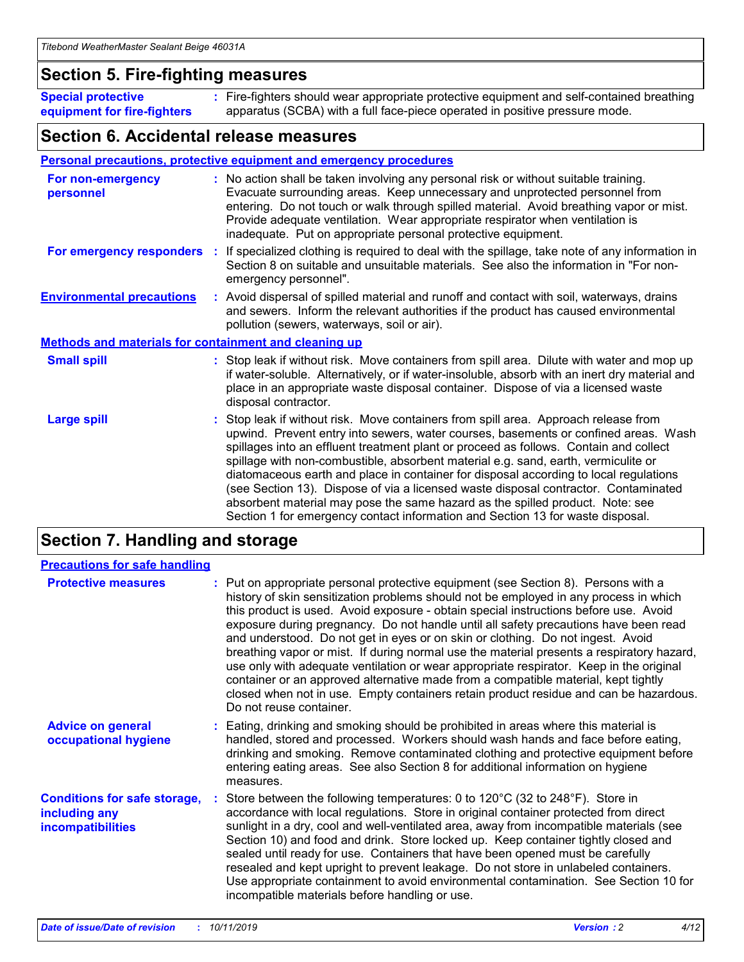### **Section 5. Fire-fighting measures**

**Special protective equipment for fire-fighters** Fire-fighters should wear appropriate protective equipment and self-contained breathing **:** apparatus (SCBA) with a full face-piece operated in positive pressure mode.

### **Section 6. Accidental release measures**

#### **Personal precautions, protective equipment and emergency procedures**

| For non-emergency<br>personnel                               | : No action shall be taken involving any personal risk or without suitable training.<br>Evacuate surrounding areas. Keep unnecessary and unprotected personnel from<br>entering. Do not touch or walk through spilled material. Avoid breathing vapor or mist.<br>Provide adequate ventilation. Wear appropriate respirator when ventilation is<br>inadequate. Put on appropriate personal protective equipment.                                                                                                                                                                                                                                                                                             |
|--------------------------------------------------------------|--------------------------------------------------------------------------------------------------------------------------------------------------------------------------------------------------------------------------------------------------------------------------------------------------------------------------------------------------------------------------------------------------------------------------------------------------------------------------------------------------------------------------------------------------------------------------------------------------------------------------------------------------------------------------------------------------------------|
|                                                              | For emergency responders : If specialized clothing is required to deal with the spillage, take note of any information in<br>Section 8 on suitable and unsuitable materials. See also the information in "For non-<br>emergency personnel".                                                                                                                                                                                                                                                                                                                                                                                                                                                                  |
| <b>Environmental precautions</b>                             | : Avoid dispersal of spilled material and runoff and contact with soil, waterways, drains<br>and sewers. Inform the relevant authorities if the product has caused environmental<br>pollution (sewers, waterways, soil or air).                                                                                                                                                                                                                                                                                                                                                                                                                                                                              |
| <b>Methods and materials for containment and cleaning up</b> |                                                                                                                                                                                                                                                                                                                                                                                                                                                                                                                                                                                                                                                                                                              |
| <b>Small spill</b>                                           | : Stop leak if without risk. Move containers from spill area. Dilute with water and mop up<br>if water-soluble. Alternatively, or if water-insoluble, absorb with an inert dry material and<br>place in an appropriate waste disposal container. Dispose of via a licensed waste<br>disposal contractor.                                                                                                                                                                                                                                                                                                                                                                                                     |
| <b>Large spill</b>                                           | : Stop leak if without risk. Move containers from spill area. Approach release from<br>upwind. Prevent entry into sewers, water courses, basements or confined areas. Wash<br>spillages into an effluent treatment plant or proceed as follows. Contain and collect<br>spillage with non-combustible, absorbent material e.g. sand, earth, vermiculite or<br>diatomaceous earth and place in container for disposal according to local regulations<br>(see Section 13). Dispose of via a licensed waste disposal contractor. Contaminated<br>absorbent material may pose the same hazard as the spilled product. Note: see<br>Section 1 for emergency contact information and Section 13 for waste disposal. |

### **Section 7. Handling and storage**

| <b>Precautions for safe handling</b>                                             |                                                                                                                                                                                                                                                                                                                                                                                                                                                                                                                                                                                                                                                                                                                                                                                                                                                  |
|----------------------------------------------------------------------------------|--------------------------------------------------------------------------------------------------------------------------------------------------------------------------------------------------------------------------------------------------------------------------------------------------------------------------------------------------------------------------------------------------------------------------------------------------------------------------------------------------------------------------------------------------------------------------------------------------------------------------------------------------------------------------------------------------------------------------------------------------------------------------------------------------------------------------------------------------|
| <b>Protective measures</b>                                                       | : Put on appropriate personal protective equipment (see Section 8). Persons with a<br>history of skin sensitization problems should not be employed in any process in which<br>this product is used. Avoid exposure - obtain special instructions before use. Avoid<br>exposure during pregnancy. Do not handle until all safety precautions have been read<br>and understood. Do not get in eyes or on skin or clothing. Do not ingest. Avoid<br>breathing vapor or mist. If during normal use the material presents a respiratory hazard,<br>use only with adequate ventilation or wear appropriate respirator. Keep in the original<br>container or an approved alternative made from a compatible material, kept tightly<br>closed when not in use. Empty containers retain product residue and can be hazardous.<br>Do not reuse container. |
| <b>Advice on general</b><br>occupational hygiene                                 | : Eating, drinking and smoking should be prohibited in areas where this material is<br>handled, stored and processed. Workers should wash hands and face before eating,<br>drinking and smoking. Remove contaminated clothing and protective equipment before<br>entering eating areas. See also Section 8 for additional information on hygiene<br>measures.                                                                                                                                                                                                                                                                                                                                                                                                                                                                                    |
| <b>Conditions for safe storage,</b><br>including any<br><b>incompatibilities</b> | Store between the following temperatures: 0 to $120^{\circ}$ C (32 to $248^{\circ}$ F). Store in<br>accordance with local regulations. Store in original container protected from direct<br>sunlight in a dry, cool and well-ventilated area, away from incompatible materials (see<br>Section 10) and food and drink. Store locked up. Keep container tightly closed and<br>sealed until ready for use. Containers that have been opened must be carefully<br>resealed and kept upright to prevent leakage. Do not store in unlabeled containers.<br>Use appropriate containment to avoid environmental contamination. See Section 10 for<br>incompatible materials before handling or use.                                                                                                                                                     |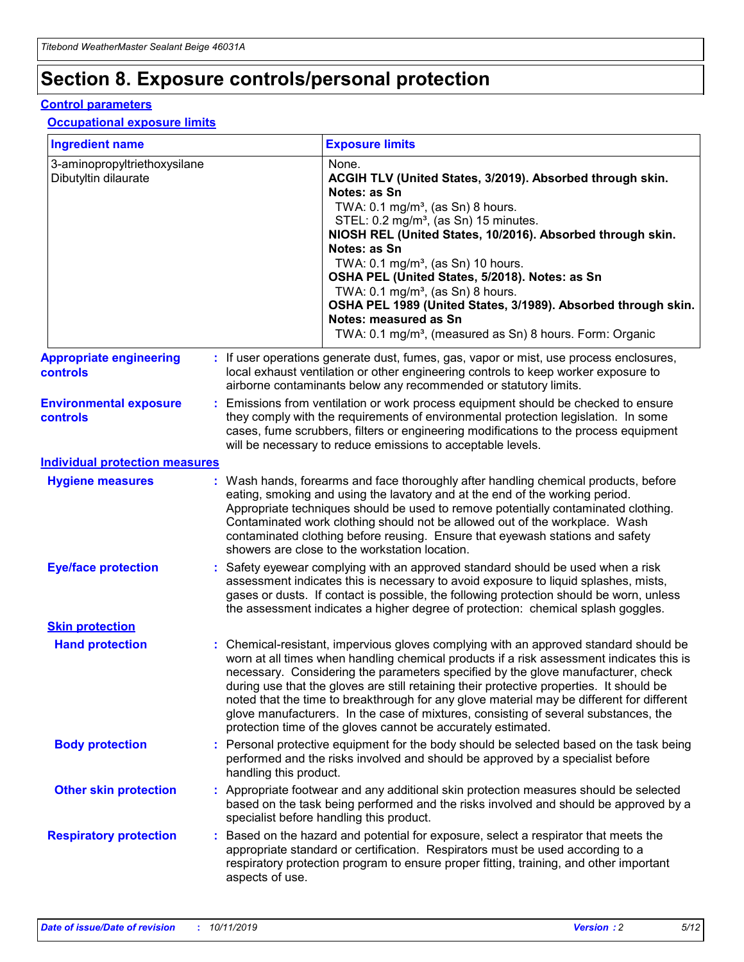## **Section 8. Exposure controls/personal protection**

#### **Control parameters**

#### **Occupational exposure limits**

| <b>Ingredient name</b>                               |    |                                          | <b>Exposure limits</b>                                                                                                                                                                                                                                                                                                                                                                                                                                                                                                                                                                                                 |
|------------------------------------------------------|----|------------------------------------------|------------------------------------------------------------------------------------------------------------------------------------------------------------------------------------------------------------------------------------------------------------------------------------------------------------------------------------------------------------------------------------------------------------------------------------------------------------------------------------------------------------------------------------------------------------------------------------------------------------------------|
| 3-aminopropyltriethoxysilane<br>Dibutyltin dilaurate |    |                                          | None.<br>ACGIH TLV (United States, 3/2019). Absorbed through skin.<br>Notes: as Sn<br>TWA: 0.1 mg/m <sup>3</sup> , (as Sn) 8 hours.<br>STEL: 0.2 mg/m <sup>3</sup> , (as Sn) 15 minutes.<br>NIOSH REL (United States, 10/2016). Absorbed through skin.<br>Notes: as Sn<br>TWA: 0.1 mg/m <sup>3</sup> , (as Sn) 10 hours.<br>OSHA PEL (United States, 5/2018). Notes: as Sn<br>TWA: $0.1 \text{ mg/m}^3$ , (as Sn) 8 hours.<br>OSHA PEL 1989 (United States, 3/1989). Absorbed through skin.<br>Notes: measured as Sn<br>TWA: 0.1 mg/m <sup>3</sup> , (measured as Sn) 8 hours. Form: Organic                           |
| <b>Appropriate engineering</b><br>controls           |    |                                          | : If user operations generate dust, fumes, gas, vapor or mist, use process enclosures,<br>local exhaust ventilation or other engineering controls to keep worker exposure to<br>airborne contaminants below any recommended or statutory limits.                                                                                                                                                                                                                                                                                                                                                                       |
| <b>Environmental exposure</b><br><b>controls</b>     |    |                                          | Emissions from ventilation or work process equipment should be checked to ensure<br>they comply with the requirements of environmental protection legislation. In some<br>cases, fume scrubbers, filters or engineering modifications to the process equipment<br>will be necessary to reduce emissions to acceptable levels.                                                                                                                                                                                                                                                                                          |
| <b>Individual protection measures</b>                |    |                                          |                                                                                                                                                                                                                                                                                                                                                                                                                                                                                                                                                                                                                        |
| <b>Hygiene measures</b>                              |    |                                          | : Wash hands, forearms and face thoroughly after handling chemical products, before<br>eating, smoking and using the lavatory and at the end of the working period.<br>Appropriate techniques should be used to remove potentially contaminated clothing.<br>Contaminated work clothing should not be allowed out of the workplace. Wash<br>contaminated clothing before reusing. Ensure that eyewash stations and safety<br>showers are close to the workstation location.                                                                                                                                            |
| <b>Eye/face protection</b>                           |    |                                          | : Safety eyewear complying with an approved standard should be used when a risk<br>assessment indicates this is necessary to avoid exposure to liquid splashes, mists,<br>gases or dusts. If contact is possible, the following protection should be worn, unless<br>the assessment indicates a higher degree of protection: chemical splash goggles.                                                                                                                                                                                                                                                                  |
| <b>Skin protection</b>                               |    |                                          |                                                                                                                                                                                                                                                                                                                                                                                                                                                                                                                                                                                                                        |
| <b>Hand protection</b>                               |    |                                          | : Chemical-resistant, impervious gloves complying with an approved standard should be<br>worn at all times when handling chemical products if a risk assessment indicates this is<br>necessary. Considering the parameters specified by the glove manufacturer, check<br>during use that the gloves are still retaining their protective properties. It should be<br>noted that the time to breakthrough for any glove material may be different for different<br>glove manufacturers. In the case of mixtures, consisting of several substances, the<br>protection time of the gloves cannot be accurately estimated. |
| <b>Body protection</b>                               |    | handling this product.                   | Personal protective equipment for the body should be selected based on the task being<br>performed and the risks involved and should be approved by a specialist before                                                                                                                                                                                                                                                                                                                                                                                                                                                |
| <b>Other skin protection</b>                         |    | specialist before handling this product. | : Appropriate footwear and any additional skin protection measures should be selected<br>based on the task being performed and the risks involved and should be approved by a                                                                                                                                                                                                                                                                                                                                                                                                                                          |
| <b>Respiratory protection</b>                        | ÷. | aspects of use.                          | Based on the hazard and potential for exposure, select a respirator that meets the<br>appropriate standard or certification. Respirators must be used according to a<br>respiratory protection program to ensure proper fitting, training, and other important                                                                                                                                                                                                                                                                                                                                                         |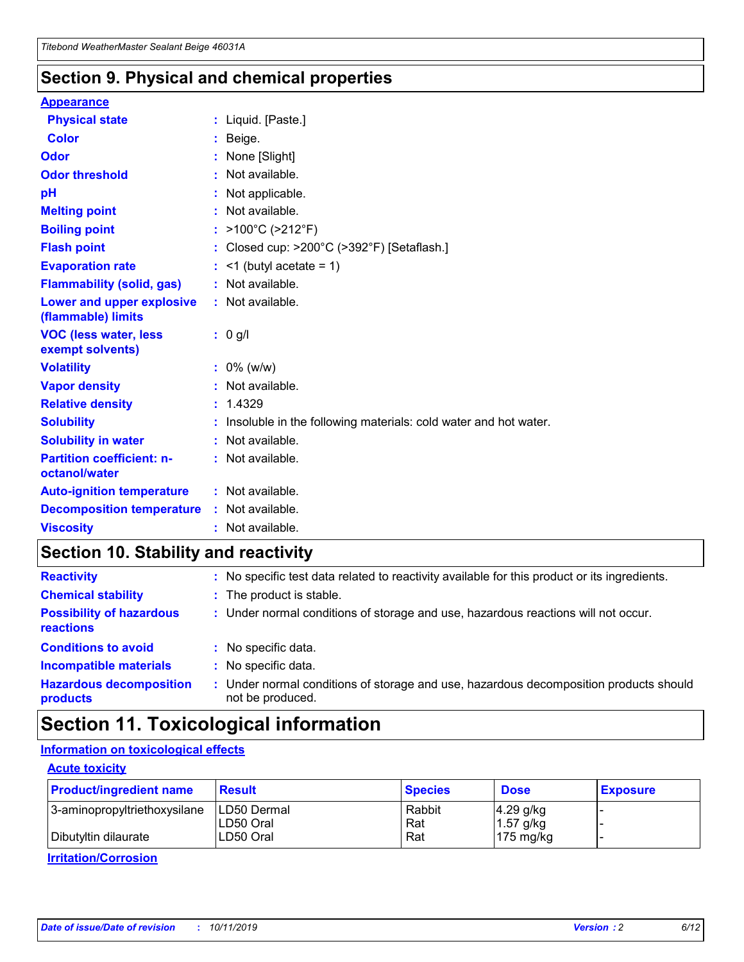### **Section 9. Physical and chemical properties**

#### **Appearance**

| <b>Physical state</b>                             | : Liquid. [Paste.]                                              |
|---------------------------------------------------|-----------------------------------------------------------------|
| Color                                             | Beige.                                                          |
| Odor                                              | None [Slight]                                                   |
| <b>Odor threshold</b>                             | : Not available.                                                |
| рH                                                | : Not applicable.                                               |
| <b>Melting point</b>                              | : Not available.                                                |
| <b>Boiling point</b>                              | : >100°C (>212°F)                                               |
| <b>Flash point</b>                                | : Closed cup: $>200^{\circ}$ C ( $>392^{\circ}$ F) [Setaflash.] |
| <b>Evaporation rate</b>                           | $:$ <1 (butyl acetate = 1)                                      |
| <b>Flammability (solid, gas)</b>                  | : Not available.                                                |
| Lower and upper explosive<br>(flammable) limits   | : Not available.                                                |
| <b>VOC (less water, less</b><br>exempt solvents)  | : 0 g/l                                                         |
| <b>Volatility</b>                                 | $: 0\%$ (w/w)                                                   |
| <b>Vapor density</b>                              | : Not available.                                                |
| <b>Relative density</b>                           | : 1.4329                                                        |
| <b>Solubility</b>                                 | Insoluble in the following materials: cold water and hot water. |
| <b>Solubility in water</b>                        | : Not available.                                                |
| <b>Partition coefficient: n-</b><br>octanol/water | $:$ Not available.                                              |
| <b>Auto-ignition temperature</b>                  | : Not available.                                                |
|                                                   |                                                                 |
| <b>Decomposition temperature</b>                  | : Not available.                                                |

### **Section 10. Stability and reactivity**

| <b>Reactivity</b>                            |    | : No specific test data related to reactivity available for this product or its ingredients.            |
|----------------------------------------------|----|---------------------------------------------------------------------------------------------------------|
| <b>Chemical stability</b>                    |    | : The product is stable.                                                                                |
| <b>Possibility of hazardous</b><br>reactions |    | : Under normal conditions of storage and use, hazardous reactions will not occur.                       |
| <b>Conditions to avoid</b>                   |    | : No specific data.                                                                                     |
| <b>Incompatible materials</b>                | ٠. | No specific data.                                                                                       |
| <b>Hazardous decomposition</b><br>products   | ÷. | Under normal conditions of storage and use, hazardous decomposition products should<br>not be produced. |

### **Section 11. Toxicological information**

### **Information on toxicological effects**

#### **Acute toxicity**

| <b>Product/ingredient name</b> | <b>Result</b>           | <b>Species</b> | <b>Dose</b>                | <b>Exposure</b> |
|--------------------------------|-------------------------|----------------|----------------------------|-----------------|
| 3-aminopropyltriethoxysilane   | <b>ILD50 Dermal</b>     | Rabbit         | 4.29 g/kg                  |                 |
| Dibutyltin dilaurate           | ILD50 Oral<br>LD50 Oral | Rat<br>Rat     | $1.57$ g/kg<br>175 $mg/kg$ |                 |
|                                |                         |                |                            |                 |

**Irritation/Corrosion**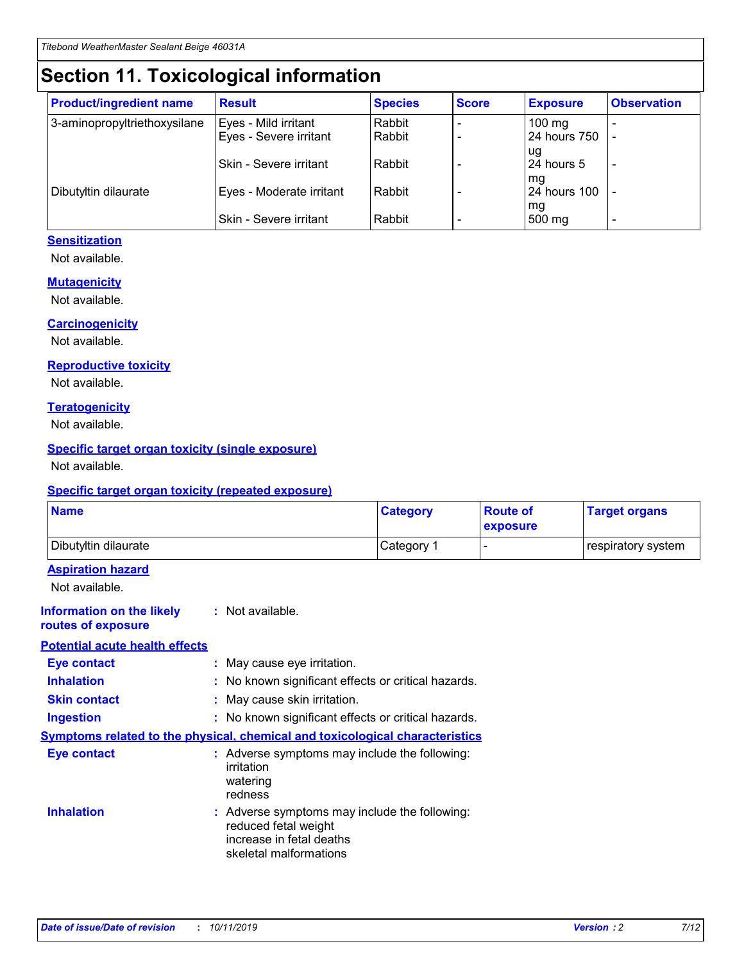## **Section 11. Toxicological information**

| <b>Product/ingredient name</b> | <b>Result</b>            | <b>Species</b> | <b>Score</b> | <b>Exposure</b>           | <b>Observation</b> |
|--------------------------------|--------------------------|----------------|--------------|---------------------------|--------------------|
| 3-aminopropyltriethoxysilane   | Eyes - Mild irritant     | Rabbit         |              | $100$ mg                  |                    |
|                                | Eyes - Severe irritant   | Rabbit         |              | 24 hours 750              |                    |
|                                |                          |                |              | ug                        |                    |
|                                | Skin - Severe irritant   | Rabbit         |              | 24 hours 5                | -                  |
| Dibutyltin dilaurate           | Eyes - Moderate irritant | Rabbit         |              | mg<br><b>24 hours 100</b> |                    |
|                                |                          |                |              | mg                        |                    |
|                                | Skin - Severe irritant   | Rabbit         |              | 500 mg                    | -                  |

#### **Sensitization**

Not available.

#### **Mutagenicity**

Not available.

#### **Carcinogenicity**

Not available.

#### **Reproductive toxicity**

Not available.

#### **Teratogenicity**

Not available.

#### **Specific target organ toxicity (single exposure)**

Not available.

#### **Specific target organ toxicity (repeated exposure)**

| <b>Name</b>                                                                  |                                                                            | <b>Category</b>                                     | <b>Route of</b><br>exposure | <b>Target organs</b> |
|------------------------------------------------------------------------------|----------------------------------------------------------------------------|-----------------------------------------------------|-----------------------------|----------------------|
| Dibutyltin dilaurate                                                         |                                                                            | Category 1                                          | -                           | respiratory system   |
| <b>Aspiration hazard</b><br>Not available.                                   |                                                                            |                                                     |                             |                      |
| <b>Information on the likely</b><br>routes of exposure                       | : Not available.                                                           |                                                     |                             |                      |
| <b>Potential acute health effects</b>                                        |                                                                            |                                                     |                             |                      |
| <b>Eye contact</b>                                                           | : May cause eye irritation.                                                |                                                     |                             |                      |
| <b>Inhalation</b>                                                            |                                                                            | : No known significant effects or critical hazards. |                             |                      |
| <b>Skin contact</b>                                                          | : May cause skin irritation.                                               |                                                     |                             |                      |
| <b>Ingestion</b>                                                             |                                                                            | : No known significant effects or critical hazards. |                             |                      |
| Symptoms related to the physical, chemical and toxicological characteristics |                                                                            |                                                     |                             |                      |
| <b>Eye contact</b>                                                           | irritation<br>watering<br>redness                                          | : Adverse symptoms may include the following:       |                             |                      |
| <b>Inhalation</b>                                                            | reduced fetal weight<br>increase in fetal deaths<br>skeletal malformations | : Adverse symptoms may include the following:       |                             |                      |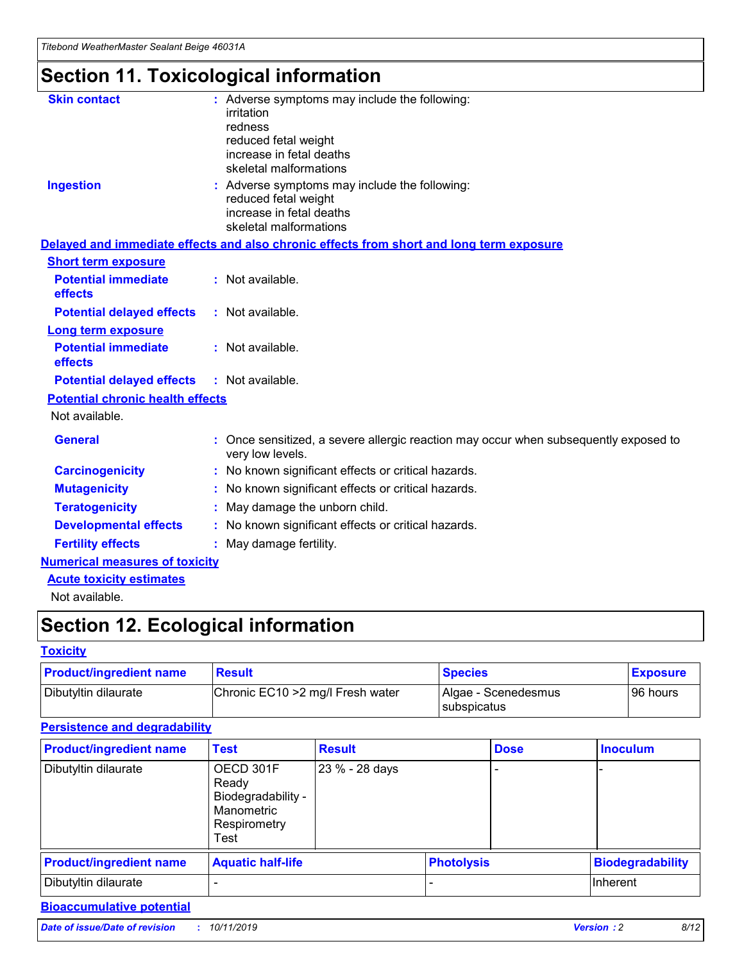## **Section 11. Toxicological information**

| <b>Skin contact</b>                     | : Adverse symptoms may include the following:                                                            |
|-----------------------------------------|----------------------------------------------------------------------------------------------------------|
|                                         | irritation                                                                                               |
|                                         | redness                                                                                                  |
|                                         | reduced fetal weight                                                                                     |
|                                         | increase in fetal deaths                                                                                 |
|                                         | skeletal malformations                                                                                   |
| <b>Ingestion</b>                        | : Adverse symptoms may include the following:                                                            |
|                                         | reduced fetal weight                                                                                     |
|                                         | increase in fetal deaths                                                                                 |
|                                         | skeletal malformations                                                                                   |
|                                         | Delayed and immediate effects and also chronic effects from short and long term exposure                 |
| <b>Short term exposure</b>              |                                                                                                          |
| <b>Potential immediate</b>              | : Not available.                                                                                         |
| effects                                 |                                                                                                          |
| <b>Potential delayed effects</b>        | : Not available.                                                                                         |
| Long term exposure                      |                                                                                                          |
| <b>Potential immediate</b>              | : Not available.                                                                                         |
| effects                                 |                                                                                                          |
| <b>Potential delayed effects</b>        | : Not available.                                                                                         |
| <b>Potential chronic health effects</b> |                                                                                                          |
| Not available.                          |                                                                                                          |
| <b>General</b>                          | : Once sensitized, a severe allergic reaction may occur when subsequently exposed to<br>very low levels. |
| <b>Carcinogenicity</b>                  | : No known significant effects or critical hazards.                                                      |
| <b>Mutagenicity</b>                     | No known significant effects or critical hazards.                                                        |
| <b>Teratogenicity</b>                   | May damage the unborn child.                                                                             |
| <b>Developmental effects</b>            | No known significant effects or critical hazards.                                                        |
| <b>Fertility effects</b>                | : May damage fertility.                                                                                  |
| <b>Numerical measures of toxicity</b>   |                                                                                                          |
| <b>Acute toxicity estimates</b>         |                                                                                                          |
|                                         |                                                                                                          |

Not available.

## **Section 12. Ecological information**

#### **Toxicity**

| <b>Product/ingredient name</b> | <b>Result</b>                     | <b>Species</b>                              | <b>Exposure</b> |
|--------------------------------|-----------------------------------|---------------------------------------------|-----------------|
| Dibutyltin dilaurate           | Chronic EC10 > 2 mg/l Fresh water | Algae - Scenedesmus<br><b>I</b> subspicatus | l 96 hours      |

### **Persistence and degradability**

| <b>Product/ingredient name</b> | <b>Test</b>                                                                    | <b>Result</b>  |                   | <b>Dose</b> | <b>Inoculum</b>         |
|--------------------------------|--------------------------------------------------------------------------------|----------------|-------------------|-------------|-------------------------|
| Dibutyltin dilaurate           | OECD 301F<br>Ready<br>Biodegradability -<br>Manometric<br>Respirometry<br>Test | 23 % - 28 days |                   |             |                         |
| <b>Product/ingredient name</b> | <b>Aquatic half-life</b>                                                       |                | <b>Photolysis</b> |             | <b>Biodegradability</b> |
| Dibutyltin dilaurate           |                                                                                |                |                   |             | Inherent                |

### **Bioaccumulative potential**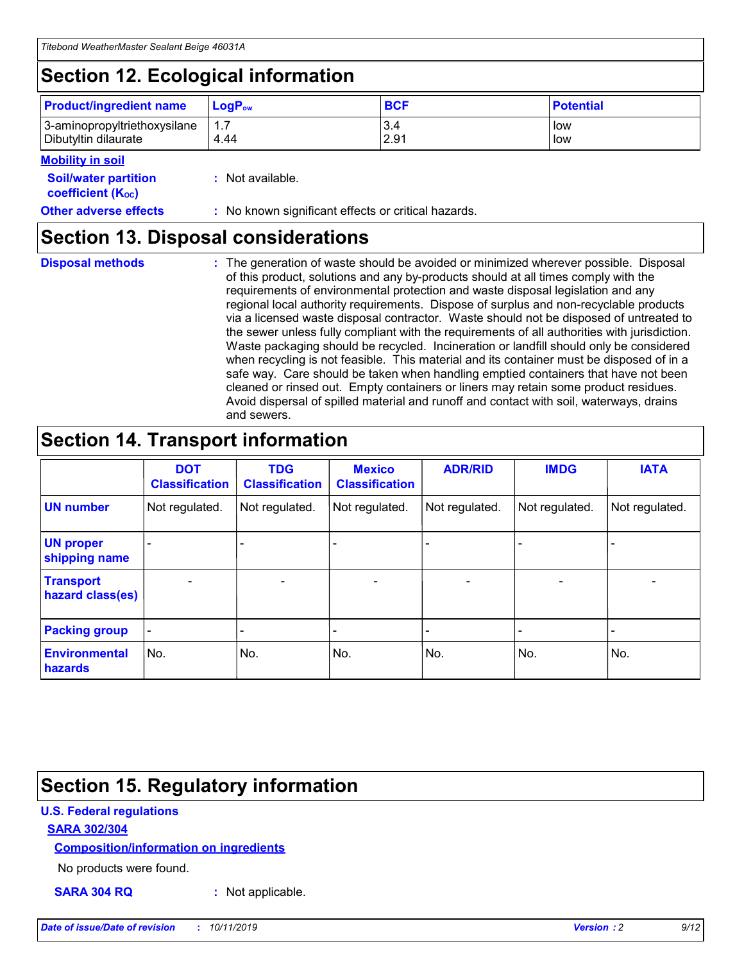## **Section 12. Ecological information**

| <b>Product/ingredient name</b> | $LoaPow$ | <b>BCF</b> | <b>Potential</b> |
|--------------------------------|----------|------------|------------------|
| 3-aminopropyltriethoxysilane   | 1.7      | 3.4        | low              |
| Dibutyltin dilaurate           | 4.44     | 2.91       | low              |

#### **Mobility in soil**

| <i></i>                                                       |                                                     |
|---------------------------------------------------------------|-----------------------------------------------------|
| <b>Soil/water partition</b><br>coefficient (K <sub>oc</sub> ) | : Not available.                                    |
| <b>Other adverse effects</b>                                  | : No known significant effects or critical hazards. |

### **Section 13. Disposal considerations**

**Disposal methods :**

The generation of waste should be avoided or minimized wherever possible. Disposal of this product, solutions and any by-products should at all times comply with the requirements of environmental protection and waste disposal legislation and any regional local authority requirements. Dispose of surplus and non-recyclable products via a licensed waste disposal contractor. Waste should not be disposed of untreated to the sewer unless fully compliant with the requirements of all authorities with jurisdiction. Waste packaging should be recycled. Incineration or landfill should only be considered when recycling is not feasible. This material and its container must be disposed of in a safe way. Care should be taken when handling emptied containers that have not been cleaned or rinsed out. Empty containers or liners may retain some product residues. Avoid dispersal of spilled material and runoff and contact with soil, waterways, drains and sewers.

## **Section 14. Transport information**

|                                      | <b>DOT</b><br><b>Classification</b> | <b>TDG</b><br><b>Classification</b> | <b>Mexico</b><br><b>Classification</b> | <b>ADR/RID</b>           | <b>IMDG</b>              | <b>IATA</b>    |
|--------------------------------------|-------------------------------------|-------------------------------------|----------------------------------------|--------------------------|--------------------------|----------------|
| <b>UN number</b>                     | Not regulated.                      | Not regulated.                      | Not regulated.                         | Not regulated.           | Not regulated.           | Not regulated. |
| <b>UN proper</b><br>shipping name    | $\blacksquare$                      |                                     |                                        |                          |                          |                |
| <b>Transport</b><br>hazard class(es) | $\blacksquare$                      | $\overline{\phantom{a}}$            | $\overline{\phantom{a}}$               | $\overline{\phantom{a}}$ | $\overline{\phantom{a}}$ | $\blacksquare$ |
| <b>Packing group</b>                 | $\overline{\phantom{a}}$            | -                                   | -                                      | -                        |                          | -              |
| <b>Environmental</b><br>hazards      | No.                                 | No.                                 | No.                                    | No.                      | No.                      | No.            |

## **Section 15. Regulatory information**

#### **U.S. Federal regulations**

#### **SARA 302/304**

#### **Composition/information on ingredients**

No products were found.

**SARA 304 RQ :** Not applicable.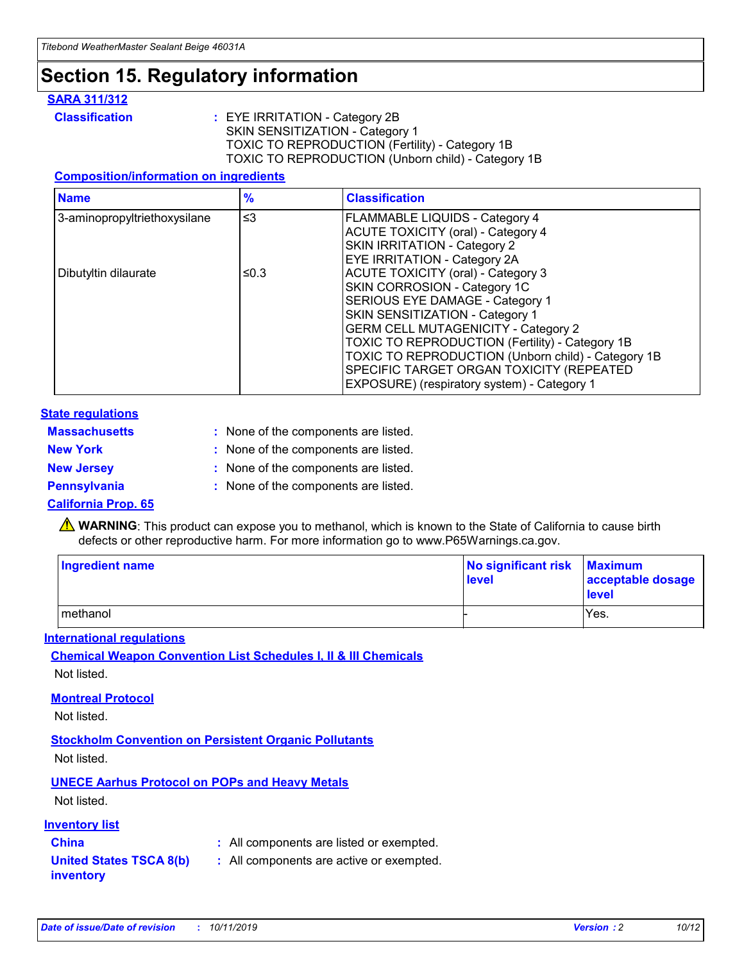## **Section 15. Regulatory information**

#### **SARA 311/312**

**Classification :** EYE IRRITATION - Category 2B SKIN SENSITIZATION - Category 1 TOXIC TO REPRODUCTION (Fertility) - Category 1B TOXIC TO REPRODUCTION (Unborn child) - Category 1B

#### **Composition/information on ingredients**

| <b>Name</b>                  | $\frac{9}{6}$ | <b>Classification</b>                                                                                            |
|------------------------------|---------------|------------------------------------------------------------------------------------------------------------------|
| 3-aminopropyltriethoxysilane | $\leq$ 3      | <b>FLAMMABLE LIQUIDS - Category 4</b><br><b>ACUTE TOXICITY (oral) - Category 4</b>                               |
|                              |               | SKIN IRRITATION - Category 2<br>EYE IRRITATION - Category 2A                                                     |
| Dibutyltin dilaurate         | ≤0.3          | ACUTE TOXICITY (oral) - Category 3<br>SKIN CORROSION - Category 1C                                               |
|                              |               | SERIOUS EYE DAMAGE - Category 1<br>SKIN SENSITIZATION - Category 1<br><b>GERM CELL MUTAGENICITY - Category 2</b> |
|                              |               | TOXIC TO REPRODUCTION (Fertility) - Category 1B<br>TOXIC TO REPRODUCTION (Unborn child) - Category 1B            |
|                              |               | SPECIFIC TARGET ORGAN TOXICITY (REPEATED<br>EXPOSURE) (respiratory system) - Category 1                          |

#### **State regulations**

| <b>Massachusetts</b> | : None of the components are listed. |
|----------------------|--------------------------------------|
| <b>New York</b>      | : None of the components are listed. |
| <b>New Jersey</b>    | : None of the components are listed. |
| <b>Pennsylvania</b>  | : None of the components are listed. |

#### **California Prop. 65**

**A** WARNING: This product can expose you to methanol, which is known to the State of California to cause birth defects or other reproductive harm. For more information go to www.P65Warnings.ca.gov.

| <b>Ingredient name</b> | No significant risk Maximum<br>level | acceptable dosage<br>level |
|------------------------|--------------------------------------|----------------------------|
| methanol               |                                      | Yes.                       |

#### **International regulations**

**Chemical Weapon Convention List Schedules I, II & III Chemicals** Not listed.

#### **Montreal Protocol**

Not listed.

#### **Stockholm Convention on Persistent Organic Pollutants**

Not listed.

### **UNECE Aarhus Protocol on POPs and Heavy Metals**

Not listed.

#### **Inventory list**

### **China :** All components are listed or exempted.

**United States TSCA 8(b) inventory :** All components are active or exempted.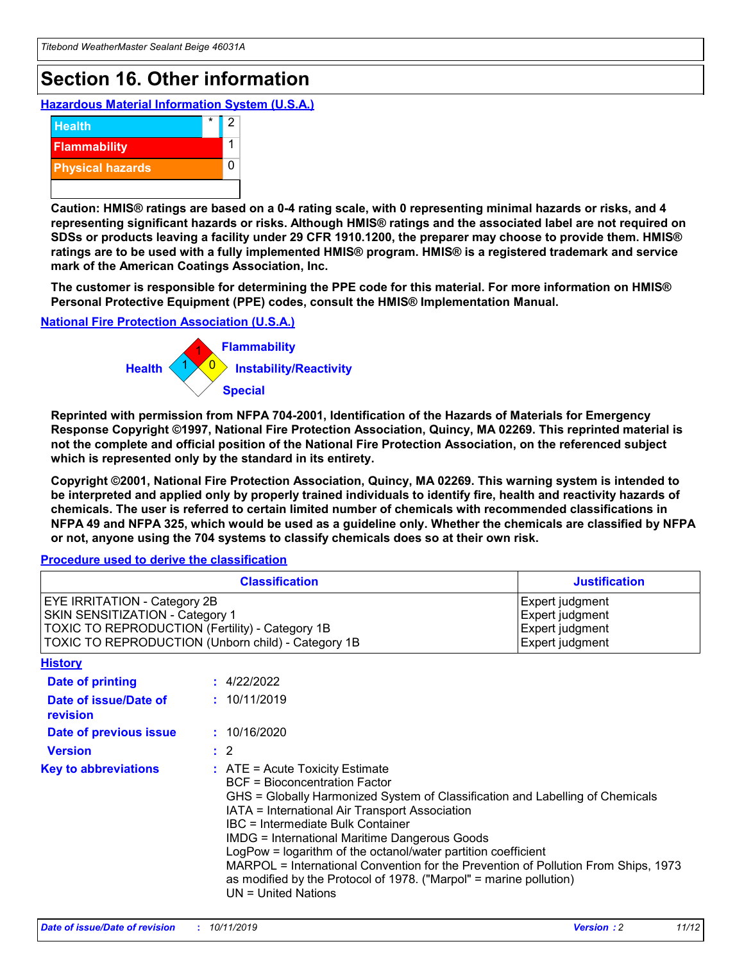## **Section 16. Other information**

**Hazardous Material Information System (U.S.A.)**



**Caution: HMIS® ratings are based on a 0-4 rating scale, with 0 representing minimal hazards or risks, and 4 representing significant hazards or risks. Although HMIS® ratings and the associated label are not required on SDSs or products leaving a facility under 29 CFR 1910.1200, the preparer may choose to provide them. HMIS® ratings are to be used with a fully implemented HMIS® program. HMIS® is a registered trademark and service mark of the American Coatings Association, Inc.**

**The customer is responsible for determining the PPE code for this material. For more information on HMIS® Personal Protective Equipment (PPE) codes, consult the HMIS® Implementation Manual.**

#### **National Fire Protection Association (U.S.A.)**



**Reprinted with permission from NFPA 704-2001, Identification of the Hazards of Materials for Emergency Response Copyright ©1997, National Fire Protection Association, Quincy, MA 02269. This reprinted material is not the complete and official position of the National Fire Protection Association, on the referenced subject which is represented only by the standard in its entirety.**

**Copyright ©2001, National Fire Protection Association, Quincy, MA 02269. This warning system is intended to be interpreted and applied only by properly trained individuals to identify fire, health and reactivity hazards of chemicals. The user is referred to certain limited number of chemicals with recommended classifications in NFPA 49 and NFPA 325, which would be used as a guideline only. Whether the chemicals are classified by NFPA or not, anyone using the 704 systems to classify chemicals does so at their own risk.**

**Procedure used to derive the classification**

| <b>Classification</b>                                                                                                                                                    |                                                                                                                                                  | <b>Justification</b>                                                                                                                                                                                                                                                                                                                                                                                                 |  |
|--------------------------------------------------------------------------------------------------------------------------------------------------------------------------|--------------------------------------------------------------------------------------------------------------------------------------------------|----------------------------------------------------------------------------------------------------------------------------------------------------------------------------------------------------------------------------------------------------------------------------------------------------------------------------------------------------------------------------------------------------------------------|--|
| EYE IRRITATION - Category 2B<br>SKIN SENSITIZATION - Category 1<br>TOXIC TO REPRODUCTION (Fertility) - Category 1B<br>TOXIC TO REPRODUCTION (Unborn child) - Category 1B |                                                                                                                                                  | Expert judgment<br>Expert judgment<br>Expert judgment<br>Expert judgment                                                                                                                                                                                                                                                                                                                                             |  |
| <b>History</b>                                                                                                                                                           |                                                                                                                                                  |                                                                                                                                                                                                                                                                                                                                                                                                                      |  |
| Date of printing                                                                                                                                                         | : 4/22/2022                                                                                                                                      |                                                                                                                                                                                                                                                                                                                                                                                                                      |  |
| Date of issue/Date of<br>revision                                                                                                                                        | : 10/11/2019                                                                                                                                     |                                                                                                                                                                                                                                                                                                                                                                                                                      |  |
| Date of previous issue                                                                                                                                                   | : 10/16/2020                                                                                                                                     |                                                                                                                                                                                                                                                                                                                                                                                                                      |  |
| <b>Version</b>                                                                                                                                                           | $\therefore$ 2                                                                                                                                   |                                                                                                                                                                                                                                                                                                                                                                                                                      |  |
| <b>Key to abbreviations</b>                                                                                                                                              | $\therefore$ ATE = Acute Toxicity Estimate<br><b>BCF</b> = Bioconcentration Factor<br>IBC = Intermediate Bulk Container<br>$UN = United Nations$ | GHS = Globally Harmonized System of Classification and Labelling of Chemicals<br>IATA = International Air Transport Association<br><b>IMDG = International Maritime Dangerous Goods</b><br>LogPow = logarithm of the octanol/water partition coefficient<br>MARPOL = International Convention for the Prevention of Pollution From Ships, 1973<br>as modified by the Protocol of 1978. ("Marpol" = marine pollution) |  |